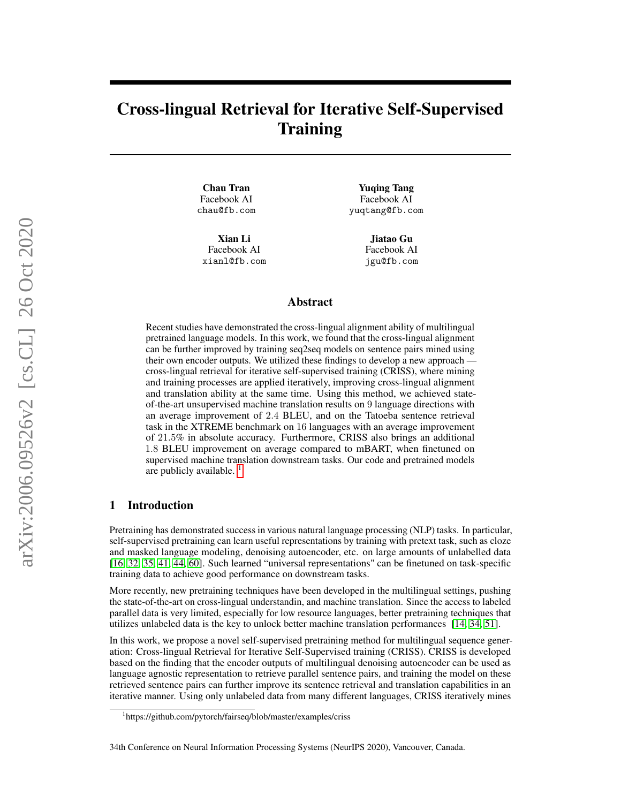# Cross-lingual Retrieval for Iterative Self-Supervised **Training**

Chau Tran Facebook AI chau@fb.com

Xian Li Facebook AI xianl@fb.com

Yuqing Tang Facebook AI yuqtang@fb.com

> Jiatao Gu Facebook AI jgu@fb.com

#### Abstract

Recent studies have demonstrated the cross-lingual alignment ability of multilingual pretrained language models. In this work, we found that the cross-lingual alignment can be further improved by training seq2seq models on sentence pairs mined using their own encoder outputs. We utilized these findings to develop a new approach cross-lingual retrieval for iterative self-supervised training (CRISS), where mining and training processes are applied iteratively, improving cross-lingual alignment and translation ability at the same time. Using this method, we achieved stateof-the-art unsupervised machine translation results on 9 language directions with an average improvement of 2.4 BLEU, and on the Tatoeba sentence retrieval task in the XTREME benchmark on 16 languages with an average improvement of 21.5% in absolute accuracy. Furthermore, CRISS also brings an additional 1.8 BLEU improvement on average compared to mBART, when finetuned on supervised machine translation downstream tasks. Our code and pretrained models are publicly available.  $<sup>1</sup>$  $<sup>1</sup>$  $<sup>1</sup>$ </sup>

## 1 Introduction

Pretraining has demonstrated success in various natural language processing (NLP) tasks. In particular, self-supervised pretraining can learn useful representations by training with pretext task, such as cloze and masked language modeling, denoising autoencoder, etc. on large amounts of unlabelled data [\[16,](#page-10-0) [32,](#page-11-0) [35,](#page-11-1) [41,](#page-11-2) [44,](#page-11-3) [60\]](#page-12-0). Such learned "universal representations" can be finetuned on task-specific training data to achieve good performance on downstream tasks.

More recently, new pretraining techniques have been developed in the multilingual settings, pushing the state-of-the-art on cross-lingual understandin, and machine translation. Since the access to labeled parallel data is very limited, especially for low resource languages, better pretraining techniques that utilizes unlabeled data is the key to unlock better machine translation performances [\[14,](#page-10-1) [34,](#page-11-4) [51\]](#page-12-1).

In this work, we propose a novel self-supervised pretraining method for multilingual sequence generation: Cross-lingual Retrieval for Iterative Self-Supervised training (CRISS). CRISS is developed based on the finding that the encoder outputs of multilingual denoising autoencoder can be used as language agnostic representation to retrieve parallel sentence pairs, and training the model on these retrieved sentence pairs can further improve its sentence retrieval and translation capabilities in an iterative manner. Using only unlabeled data from many different languages, CRISS iteratively mines

<span id="page-0-0"></span><sup>1</sup> https://github.com/pytorch/fairseq/blob/master/examples/criss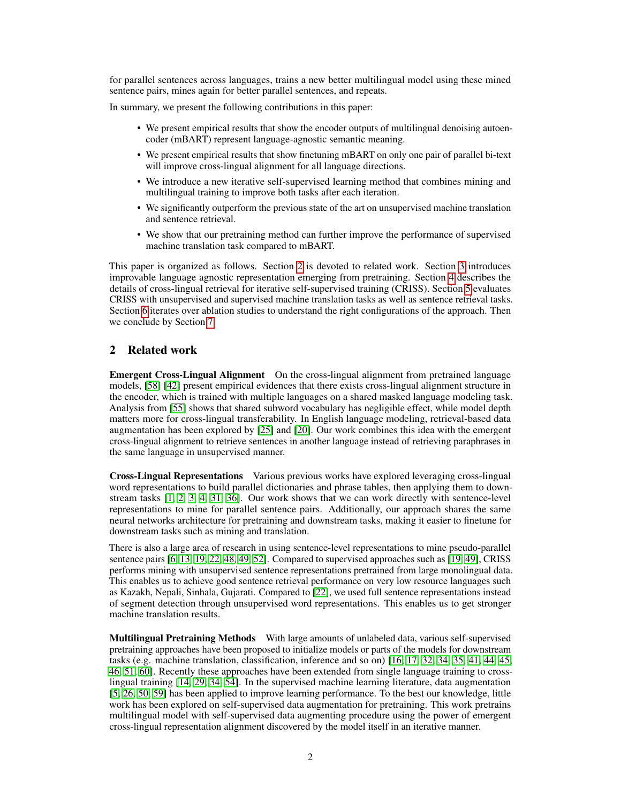for parallel sentences across languages, trains a new better multilingual model using these mined sentence pairs, mines again for better parallel sentences, and repeats.

In summary, we present the following contributions in this paper:

- We present empirical results that show the encoder outputs of multilingual denoising autoencoder (mBART) represent language-agnostic semantic meaning.
- We present empirical results that show finetuning mBART on only one pair of parallel bi-text will improve cross-lingual alignment for all language directions.
- We introduce a new iterative self-supervised learning method that combines mining and multilingual training to improve both tasks after each iteration.
- We significantly outperform the previous state of the art on unsupervised machine translation and sentence retrieval.
- We show that our pretraining method can further improve the performance of supervised machine translation task compared to mBART.

This paper is organized as follows. Section [2](#page-1-0) is devoted to related work. Section [3](#page-2-0) introduces improvable language agnostic representation emerging from pretraining. Section [4](#page-3-0) describes the details of cross-lingual retrieval for iterative self-supervised training (CRISS). Section [5](#page-4-0) evaluates CRISS with unsupervised and supervised machine translation tasks as well as sentence retrieval tasks. Section [6](#page-6-0) iterates over ablation studies to understand the right configurations of the approach. Then we conclude by Section [7.](#page-8-0)

## <span id="page-1-0"></span>2 Related work

Emergent Cross-Lingual Alignment On the cross-lingual alignment from pretrained language models, [\[58\]](#page-12-2) [\[42\]](#page-11-5) present empirical evidences that there exists cross-lingual alignment structure in the encoder, which is trained with multiple languages on a shared masked language modeling task. Analysis from [\[55\]](#page-12-3) shows that shared subword vocabulary has negligible effect, while model depth matters more for cross-lingual transferability. In English language modeling, retrieval-based data augmentation has been explored by [\[25\]](#page-10-2) and [\[20\]](#page-10-3). Our work combines this idea with the emergent cross-lingual alignment to retrieve sentences in another language instead of retrieving paraphrases in the same language in unsupervised manner.

Cross-Lingual Representations Various previous works have explored leveraging cross-lingual word representations to build parallel dictionaries and phrase tables, then applying them to downstream tasks [\[1,](#page-9-0) [2,](#page-9-1) [3,](#page-9-2) [4,](#page-9-3) [31,](#page-11-6) [36\]](#page-11-7). Our work shows that we can work directly with sentence-level representations to mine for parallel sentence pairs. Additionally, our approach shares the same neural networks architecture for pretraining and downstream tasks, making it easier to finetune for downstream tasks such as mining and translation.

There is also a large area of research in using sentence-level representations to mine pseudo-parallel sentence pairs [\[6,](#page-9-4) [13,](#page-10-4) [19,](#page-10-5) [22,](#page-10-6) [48,](#page-12-4) [49,](#page-12-5) [52\]](#page-12-6). Compared to supervised approaches such as [\[19,](#page-10-5) [49\]](#page-12-5), CRISS performs mining with unsupervised sentence representations pretrained from large monolingual data. This enables us to achieve good sentence retrieval performance on very low resource languages such as Kazakh, Nepali, Sinhala, Gujarati. Compared to [\[22\]](#page-10-6), we used full sentence representations instead of segment detection through unsupervised word representations. This enables us to get stronger machine translation results.

Multilingual Pretraining Methods With large amounts of unlabeled data, various self-supervised pretraining approaches have been proposed to initialize models or parts of the models for downstream tasks (e.g. machine translation, classification, inference and so on) [\[16,](#page-10-0) [17,](#page-10-7) [32,](#page-11-0) [34,](#page-11-4) [35,](#page-11-1) [41,](#page-11-2) [44,](#page-11-3) [45,](#page-11-8) [46,](#page-12-7) [51,](#page-12-1) [60\]](#page-12-0). Recently these approaches have been extended from single language training to crosslingual training [\[14,](#page-10-1) [29,](#page-11-9) [34,](#page-11-4) [54\]](#page-12-8). In the supervised machine learning literature, data augmentation [\[5,](#page-9-5) [26,](#page-10-8) [50,](#page-12-9) [59\]](#page-12-10) has been applied to improve learning performance. To the best our knowledge, little work has been explored on self-supervised data augmentation for pretraining. This work pretrains multilingual model with self-supervised data augmenting procedure using the power of emergent cross-lingual representation alignment discovered by the model itself in an iterative manner.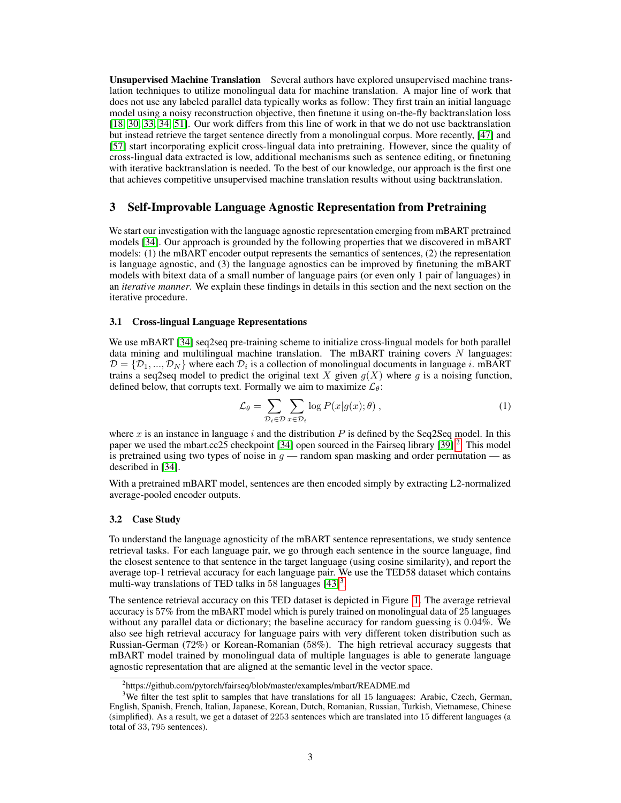Unsupervised Machine Translation Several authors have explored unsupervised machine translation techniques to utilize monolingual data for machine translation. A major line of work that does not use any labeled parallel data typically works as follow: They first train an initial language model using a noisy reconstruction objective, then finetune it using on-the-fly backtranslation loss [\[18,](#page-10-9) [30,](#page-11-10) [33,](#page-11-11) [34,](#page-11-4) [51\]](#page-12-1). Our work differs from this line of work in that we do not use backtranslation but instead retrieve the target sentence directly from a monolingual corpus. More recently, [\[47\]](#page-12-11) and [\[57\]](#page-12-12) start incorporating explicit cross-lingual data into pretraining. However, since the quality of cross-lingual data extracted is low, additional mechanisms such as sentence editing, or finetuning with iterative backtranslation is needed. To the best of our knowledge, our approach is the first one that achieves competitive unsupervised machine translation results without using backtranslation.

## <span id="page-2-0"></span>3 Self-Improvable Language Agnostic Representation from Pretraining

We start our investigation with the language agnostic representation emerging from mBART pretrained models [\[34\]](#page-11-4). Our approach is grounded by the following properties that we discovered in mBART models: (1) the mBART encoder output represents the semantics of sentences, (2) the representation is language agnostic, and (3) the language agnostics can be improved by finetuning the mBART models with bitext data of a small number of language pairs (or even only 1 pair of languages) in an *iterative manner*. We explain these findings in details in this section and the next section on the iterative procedure.

#### 3.1 Cross-lingual Language Representations

We use mBART [\[34\]](#page-11-4) seq2seq pre-training scheme to initialize cross-lingual models for both parallel data mining and multilingual machine translation. The mBART training covers  $N$  languages:  $D = \{D_1, ..., D_N\}$  where each  $D_i$  is a collection of monolingual documents in language i. mBART trains a seq2seq model to predict the original text X given  $g(X)$  where g is a noising function, defined below, that corrupts text. Formally we aim to maximize  $\mathcal{L}_{\theta}$ :

$$
\mathcal{L}_{\theta} = \sum_{\mathcal{D}_i \in \mathcal{D}} \sum_{x \in \mathcal{D}_i} \log P(x|g(x); \theta) , \qquad (1)
$$

where x is an instance in language i and the distribution  $P$  is defined by the Seq2Seq model. In this paper we used the mbart.cc25 checkpoint [\[34\]](#page-11-4) open sourced in the Fairseq library [\[39\]](#page-11-12)  $^2$  $^2$ . This model is pretrained using two types of noise in  $g$  — random span masking and order permutation — as described in [\[34\]](#page-11-4).

With a pretrained mBART model, sentences are then encoded simply by extracting L2-normalized average-pooled encoder outputs.

#### 3.2 Case Study

To understand the language agnosticity of the mBART sentence representations, we study sentence retrieval tasks. For each language pair, we go through each sentence in the source language, find the closest sentence to that sentence in the target language (using cosine similarity), and report the average top-1 retrieval accuracy for each language pair. We use the TED58 dataset which contains multi-way translations of TED talks in 58 languages  $[43]$ <sup>[3](#page-2-2)</sup>.

The sentence retrieval accuracy on this TED dataset is depicted in Figure [1.](#page-3-1) The average retrieval accuracy is 57% from the mBART model which is purely trained on monolingual data of 25 languages without any parallel data or dictionary; the baseline accuracy for random guessing is 0.04%. We also see high retrieval accuracy for language pairs with very different token distribution such as Russian-German (72%) or Korean-Romanian (58%). The high retrieval accuracy suggests that mBART model trained by monolingual data of multiple languages is able to generate language agnostic representation that are aligned at the semantic level in the vector space.

<span id="page-2-2"></span><span id="page-2-1"></span><sup>&</sup>lt;sup>2</sup>https://github.com/pytorch/fairseq/blob/master/examples/mbart/README.md

<sup>&</sup>lt;sup>3</sup>We filter the test split to samples that have translations for all 15 languages: Arabic, Czech, German, English, Spanish, French, Italian, Japanese, Korean, Dutch, Romanian, Russian, Turkish, Vietnamese, Chinese (simplified). As a result, we get a dataset of 2253 sentences which are translated into 15 different languages (a total of 33, 795 sentences).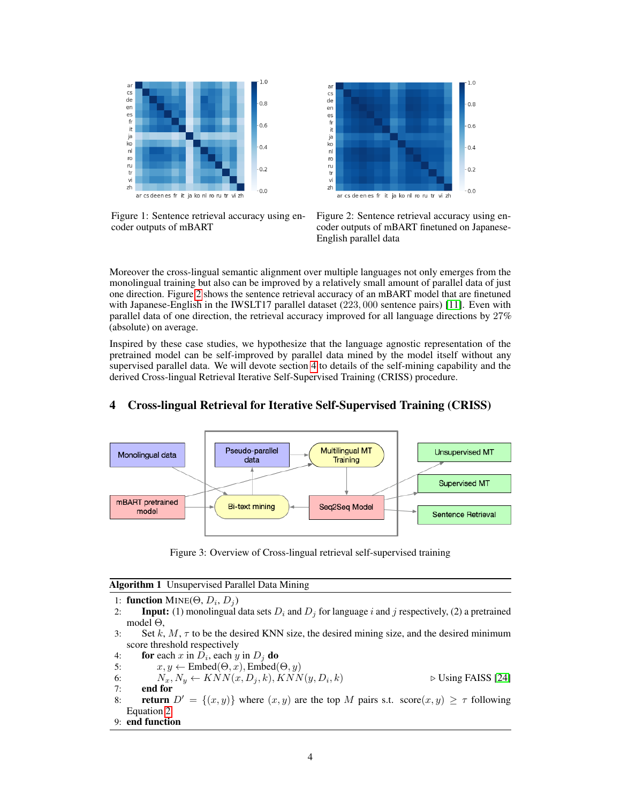<span id="page-3-1"></span>

Figure 1: Sentence retrieval accuracy using encoder outputs of mBART



Figure 2: Sentence retrieval accuracy using encoder outputs of mBART finetuned on Japanese-English parallel data

Moreover the cross-lingual semantic alignment over multiple languages not only emerges from the monolingual training but also can be improved by a relatively small amount of parallel data of just one direction. Figure [2](#page-3-1) shows the sentence retrieval accuracy of an mBART model that are finetuned with Japanese-English in the IWSLT17 parallel dataset (223, 000 sentence pairs) [\[11\]](#page-10-10). Even with parallel data of one direction, the retrieval accuracy improved for all language directions by 27% (absolute) on average.

Inspired by these case studies, we hypothesize that the language agnostic representation of the pretrained model can be self-improved by parallel data mined by the model itself without any supervised parallel data. We will devote section [4](#page-3-0) to details of the self-mining capability and the derived Cross-lingual Retrieval Iterative Self-Supervised Training (CRISS) procedure.

<span id="page-3-3"></span>

## <span id="page-3-0"></span>4 Cross-lingual Retrieval for Iterative Self-Supervised Training (CRISS)

Figure 3: Overview of Cross-lingual retrieval self-supervised training

<span id="page-3-2"></span>Algorithm 1 Unsupervised Parallel Data Mining

- 1: **function**  $MINE(\Theta, D_i, D_j)$
- 2: **Input:** (1) monolingual data sets  $D_i$  and  $D_j$  for language i and j respectively, (2) a pretrained model Θ,
- 3: Set k,  $M$ ,  $\tau$  to be the desired KNN size, the desired mining size, and the desired minimum score threshold respectively
- 4: for each x in  $D_i$ , each y in  $D_j$  do
- 5:  $x, y \leftarrow \text{Embed}(\Theta, x), \text{Embed}(\Theta, y)$
- 6:  $N_x, N_y \leftarrow KNN(x, D_j, k), KNN(y, D_i)$  $\triangleright$  Using FAISS [\[24\]](#page-10-11)
- 7: end for
- 8: **return**  $D' = \{(x, y)\}\$  where  $(x, y)$  are the top M pairs s.t. score $(x, y) \geq \tau$  following Equation [2](#page-4-1)
- 9: end function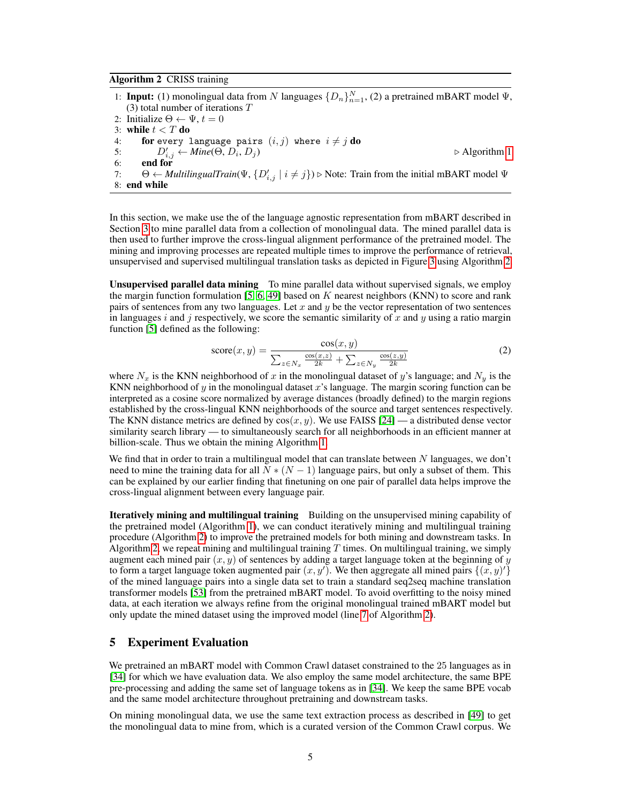#### <span id="page-4-2"></span>Algorithm 2 CRISS training

1: **Input:** (1) monolingual data from N languages  $\{D_n\}_{n=1}^N$ , (2) a pretrained mBART model  $\Psi$ , (3) total number of iterations T 2: Initialize  $\Theta \leftarrow \Psi, t = 0$ 3: while  $t < T$  do 4: **for** every language pairs  $(i, j)$  where  $i \neq j$   $\bf{do}$ 5:  $D'_{i,j} \leftarrow \text{Mine}(\Theta, D_i, D_j)$   $\triangleright$  Algorithm [1](#page-3-2) 6: end for 7:  $\Theta \leftarrow \text{MultipigualTrain}(\Psi, \{D'_{i,j} \mid i \neq j\}) \triangleright \text{Note: Train from the initial mBART model } \Psi$ 8: end while

In this section, we make use the of the language agnostic representation from mBART described in Section [3](#page-2-0) to mine parallel data from a collection of monolingual data. The mined parallel data is then used to further improve the cross-lingual alignment performance of the pretrained model. The mining and improving processes are repeated multiple times to improve the performance of retrieval, unsupervised and supervised multilingual translation tasks as depicted in Figure [3](#page-3-3) using Algorithm [2.](#page-4-2)

Unsupervised parallel data mining To mine parallel data without supervised signals, we employ the margin function formulation [\[5,](#page-9-5) [6,](#page-9-4) [49\]](#page-12-5) based on  $K$  nearest neighbors (KNN) to score and rank pairs of sentences from any two languages. Let  $x$  and  $y$  be the vector representation of two sentences in languages i and j respectively, we score the semantic similarity of x and y using a ratio margin function [\[5\]](#page-9-5) defined as the following:

<span id="page-4-1"></span>
$$
\text{score}(x, y) = \frac{\cos(x, y)}{\sum_{z \in N_x} \frac{\cos(x, z)}{2k} + \sum_{z \in N_y} \frac{\cos(z, y)}{2k}} \tag{2}
$$

where  $N_x$  is the KNN neighborhood of x in the monolingual dataset of y's language; and  $N_y$  is the KNN neighborhood of y in the monolingual dataset x's language. The margin scoring function can be interpreted as a cosine score normalized by average distances (broadly defined) to the margin regions established by the cross-lingual KNN neighborhoods of the source and target sentences respectively. The KNN distance metrics are defined by  $cos(x, y)$ . We use FAISS [\[24\]](#page-10-11) — a distributed dense vector similarity search library — to simultaneously search for all neighborhoods in an efficient manner at billion-scale. Thus we obtain the mining Algorithm [1.](#page-3-2)

We find that in order to train a multilingual model that can translate between  $N$  languages, we don't need to mine the training data for all  $N * (N - 1)$  language pairs, but only a subset of them. This can be explained by our earlier finding that finetuning on one pair of parallel data helps improve the cross-lingual alignment between every language pair.

**Iteratively mining and multilingual training** Building on the unsupervised mining capability of the pretrained model (Algorithm [1\)](#page-3-2), we can conduct iteratively mining and multilingual training procedure (Algorithm [2\)](#page-4-2) to improve the pretrained models for both mining and downstream tasks. In Algorithm [2,](#page-4-2) we repeat mining and multilingual training  $T$  times. On multilingual training, we simply augment each mined pair  $(x, y)$  of sentences by adding a target language token at the beginning of y to form a target language token augmented pair  $(x, y')$ . We then aggregate all mined pairs  $\{(x, y')\}$ of the mined language pairs into a single data set to train a standard seq2seq machine translation transformer models [\[53\]](#page-12-13) from the pretrained mBART model. To avoid overfitting to the noisy mined data, at each iteration we always refine from the original monolingual trained mBART model but only update the mined dataset using the improved model (line [7](#page-4-2) of Algorithm [2\)](#page-4-2).

#### <span id="page-4-0"></span>5 Experiment Evaluation

We pretrained an mBART model with Common Crawl dataset constrained to the 25 languages as in [\[34\]](#page-11-4) for which we have evaluation data. We also employ the same model architecture, the same BPE pre-processing and adding the same set of language tokens as in [\[34\]](#page-11-4). We keep the same BPE vocab and the same model architecture throughout pretraining and downstream tasks.

On mining monolingual data, we use the same text extraction process as described in [\[49\]](#page-12-5) to get the monolingual data to mine from, which is a curated version of the Common Crawl corpus. We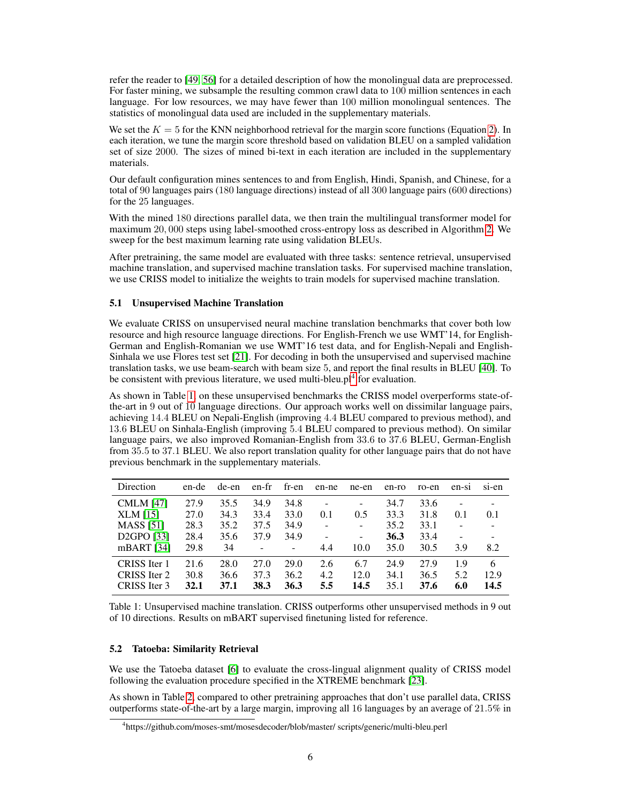refer the reader to [\[49,](#page-12-5) [56\]](#page-12-14) for a detailed description of how the monolingual data are preprocessed. For faster mining, we subsample the resulting common crawl data to 100 million sentences in each language. For low resources, we may have fewer than 100 million monolingual sentences. The statistics of monolingual data used are included in the supplementary materials.

We set the  $K = 5$  for the KNN neighborhood retrieval for the margin score functions (Equation [2\)](#page-4-1). In each iteration, we tune the margin score threshold based on validation BLEU on a sampled validation set of size 2000. The sizes of mined bi-text in each iteration are included in the supplementary materials.

Our default configuration mines sentences to and from English, Hindi, Spanish, and Chinese, for a total of 90 languages pairs (180 language directions) instead of all 300 language pairs (600 directions) for the 25 languages.

With the mined 180 directions parallel data, we then train the multilingual transformer model for maximum 20, 000 steps using label-smoothed cross-entropy loss as described in Algorithm [2.](#page-4-2) We sweep for the best maximum learning rate using validation BLEUs.

After pretraining, the same model are evaluated with three tasks: sentence retrieval, unsupervised machine translation, and supervised machine translation tasks. For supervised machine translation, we use CRISS model to initialize the weights to train models for supervised machine translation.

#### 5.1 Unsupervised Machine Translation

We evaluate CRISS on unsupervised neural machine translation benchmarks that cover both low resource and high resource language directions. For English-French we use WMT'14, for English-German and English-Romanian we use WMT'16 test data, and for English-Nepali and English-Sinhala we use Flores test set [\[21\]](#page-10-12). For decoding in both the unsupervised and supervised machine translation tasks, we use beam-search with beam size 5, and report the final results in BLEU [\[40\]](#page-11-14). To be consistent with previous literature, we used multi-bleu. $p1<sup>4</sup>$  $p1<sup>4</sup>$  $p1<sup>4</sup>$  for evaluation.

As shown in Table [1,](#page-5-1) on these unsupervised benchmarks the CRISS model overperforms state-ofthe-art in 9 out of 10 language directions. Our approach works well on dissimilar language pairs, achieving 14.4 BLEU on Nepali-English (improving 4.4 BLEU compared to previous method), and 13.6 BLEU on Sinhala-English (improving 5.4 BLEU compared to previous method). On similar language pairs, we also improved Romanian-English from 33.6 to 37.6 BLEU, German-English from 35.5 to 37.1 BLEU. We also report translation quality for other language pairs that do not have previous benchmark in the supplementary materials.

<span id="page-5-1"></span>

| Direction               | en-de | de-en | en-fr | fr-en             | en-ne                    | ne-en                    | en-ro | ro-en | en-si | si-en |
|-------------------------|-------|-------|-------|-------------------|--------------------------|--------------------------|-------|-------|-------|-------|
| <b>CMLM</b> [47]        | 27.9  | 35.5  | 34.9  | 34.8              | $\overline{\phantom{0}}$ | $\overline{\phantom{0}}$ | 34.7  | 33.6  |       |       |
| XLM[15]                 | 27.0  | 34.3  | 33.4  | 33.0              | 0.1                      | 0.5                      | 33.3  | 31.8  | 0.1   | 0.1   |
| <b>MASS</b> [51]        | 28.3  | 35.2  | 37.5  | 34.9              | ÷,                       | ۰                        | 35.2  | 33.1  |       |       |
| D <sub>2</sub> GPO [33] | 28.4  | 35.6  | 37.9  | 34.9              | $\overline{a}$           | $\overline{\phantom{0}}$ | 36.3  | 33.4  |       |       |
| mBART $[34]$            | 29.8  | 34    |       | $\qquad \qquad -$ | 4.4                      | 10.0                     | 35.0  | 30.5  | 3.9   | 8.2   |
| CRISS Iter 1            | 21.6  | 28.0  | 27.0  | 29.0              | 2.6                      | 6.7                      | 24.9  | 27.9  | 1.9   | 6     |
| CRISS Iter 2            | 30.8  | 36.6  | 37.3  | 36.2              | 4.2                      | 12.0                     | 34.1  | 36.5  | 5.2   | 12.9  |
| CRISS Iter 3            | 32.1  | 37.1  | 38.3  | 36.3              | 5.5                      | 14.5                     | 35.1  | 37.6  | 6.0   | 14.5  |

Table 1: Unsupervised machine translation. CRISS outperforms other unsupervised methods in 9 out of 10 directions. Results on mBART supervised finetuning listed for reference.

#### 5.2 Tatoeba: Similarity Retrieval

We use the Tatoeba dataset [\[6\]](#page-9-4) to evaluate the cross-lingual alignment quality of CRISS model following the evaluation procedure specified in the XTREME benchmark [\[23\]](#page-10-14).

As shown in Table [2,](#page-6-1) compared to other pretraining approaches that don't use parallel data, CRISS outperforms state-of-the-art by a large margin, improving all 16 languages by an average of 21.5% in

<span id="page-5-0"></span><sup>4</sup> https://github.com/moses-smt/mosesdecoder/blob/master/ scripts/generic/multi-bleu.perl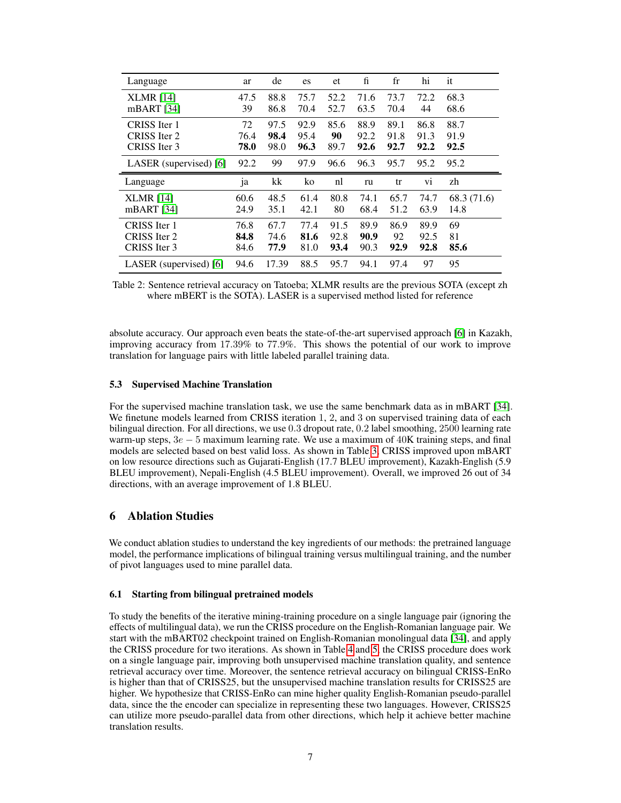<span id="page-6-1"></span>

| Language               | ar   | de   | es   | et   | fi   | $_{\rm fr}$ | hi   | it          |
|------------------------|------|------|------|------|------|-------------|------|-------------|
| <b>XLMR</b> [14]       | 47.5 | 88.8 | 75.7 | 52.2 | 71.6 | 73.7        | 72.2 | 68.3        |
| mBART $[34]$           | 39   | 86.8 | 70.4 | 52.7 | 63.5 | 70.4        | 44   | 68.6        |
| CRISS Iter 1           | 72   | 97.5 | 92.9 | 85.6 | 88.9 | 89.1        | 86.8 | 88.7        |
| CRISS Iter 2           | 76.4 | 98.4 | 95.4 | 90   | 92.2 | 91.8        | 91.3 | 91.9        |
| CRISS Iter 3           | 78.0 | 98.0 | 96.3 | 89.7 | 92.6 | 92.7        | 92.2 | 92.5        |
| LASER (supervised) [6] | 92.2 | 99   | 97.9 | 96.6 | 96.3 | 95.7        | 95.2 | 95.2        |
|                        |      |      |      |      |      |             |      |             |
| Language               | ja   | kk   | ko   | nl   | ru   | tr          | vi   | zh          |
| <b>XLMR</b> [14]       | 60.6 | 48.5 | 61.4 | 80.8 | 74.1 | 65.7        | 74.7 | 68.3 (71.6) |
| $mBART$ [34]           | 24.9 | 35.1 | 42.1 | 80   | 68.4 | 51.2        | 63.9 | 14.8        |
| CRISS Iter 1           | 76.8 | 67.7 | 77.4 | 91.5 | 89.9 | 86.9        | 89.9 | 69          |
| CRISS Iter 2           | 84.8 | 74.6 | 81.6 | 92.8 | 90.9 | 92          | 92.5 | 81          |
| CRISS Iter 3           | 84.6 | 77.9 | 81.0 | 93.4 | 90.3 | 92.9        | 92.8 | 85.6        |

Table 2: Sentence retrieval accuracy on Tatoeba; XLMR results are the previous SOTA (except zh where mBERT is the SOTA). LASER is a supervised method listed for reference

absolute accuracy. Our approach even beats the state-of-the-art supervised approach [\[6\]](#page-9-4) in Kazakh, improving accuracy from 17.39% to 77.9%. This shows the potential of our work to improve translation for language pairs with little labeled parallel training data.

#### 5.3 Supervised Machine Translation

For the supervised machine translation task, we use the same benchmark data as in mBART [\[34\]](#page-11-4). We finetune models learned from CRISS iteration 1, 2, and 3 on supervised training data of each bilingual direction. For all directions, we use 0.3 dropout rate, 0.2 label smoothing, 2500 learning rate warm-up steps,  $3e - 5$  maximum learning rate. We use a maximum of  $40K$  training steps, and final models are selected based on best valid loss. As shown in Table [3,](#page-7-0) CRISS improved upon mBART on low resource directions such as Gujarati-English (17.7 BLEU improvement), Kazakh-English (5.9 BLEU improvement), Nepali-English (4.5 BLEU improvement). Overall, we improved 26 out of 34 directions, with an average improvement of 1.8 BLEU.

## <span id="page-6-0"></span>6 Ablation Studies

We conduct ablation studies to understand the key ingredients of our methods: the pretrained language model, the performance implications of bilingual training versus multilingual training, and the number of pivot languages used to mine parallel data.

#### 6.1 Starting from bilingual pretrained models

To study the benefits of the iterative mining-training procedure on a single language pair (ignoring the effects of multilingual data), we run the CRISS procedure on the English-Romanian language pair. We start with the mBART02 checkpoint trained on English-Romanian monolingual data [\[34\]](#page-11-4), and apply the CRISS procedure for two iterations. As shown in Table [4](#page-7-1) and [5,](#page-7-1) the CRISS procedure does work on a single language pair, improving both unsupervised machine translation quality, and sentence retrieval accuracy over time. Moreover, the sentence retrieval accuracy on bilingual CRISS-EnRo is higher than that of CRISS25, but the unsupervised machine translation results for CRISS25 are higher. We hypothesize that CRISS-EnRo can mine higher quality English-Romanian pseudo-parallel data, since the the encoder can specialize in representing these two languages. However, CRISS25 can utilize more pseudo-parallel data from other directions, which help it achieve better machine translation results.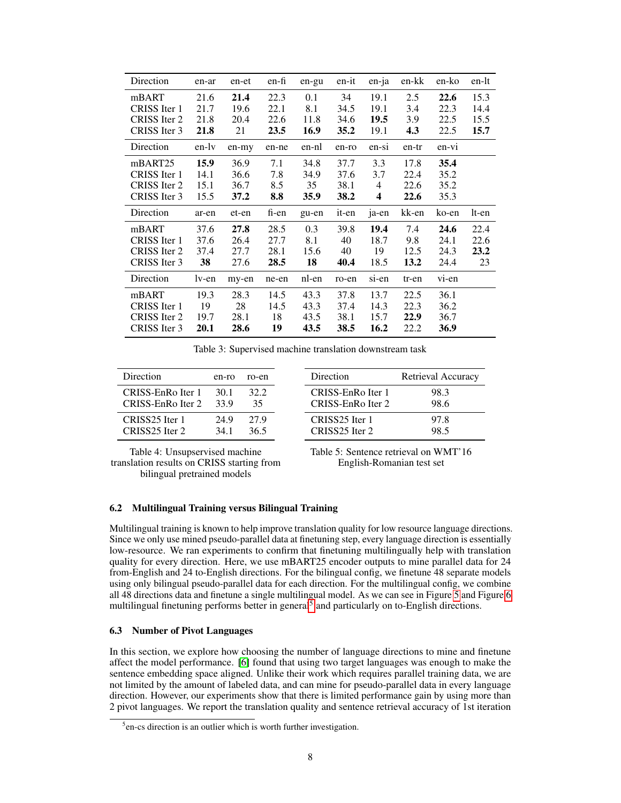<span id="page-7-0"></span>

| Direction    | en-ar | en-et | en-fi | en-gu | en-it | en-ja | en-kk | en-ko   | en-lt |
|--------------|-------|-------|-------|-------|-------|-------|-------|---------|-------|
| mBART        | 21.6  | 21.4  | 22.3  | 0.1   | 34    | 19.1  | 2.5   | 22.6    | 15.3  |
| CRISS Iter 1 | 21.7  | 19.6  | 22.1  | 8.1   | 34.5  | 19.1  | 3.4   | 22.3    | 14.4  |
| CRISS Iter 2 | 21.8  | 20.4  | 22.6  | 11.8  | 34.6  | 19.5  | 3.9   | 22.5    | 15.5  |
| CRISS Iter 3 | 21.8  | 21    | 23.5  | 16.9  | 35.2  | 19.1  | 4.3   | 22.5    | 15.7  |
| Direction    | en-lv | en-my | en-ne | en-nl | en-ro | en-si | en-tr | $en-vi$ |       |
| mBART25      | 15.9  | 36.9  | 7.1   | 34.8  | 37.7  | 3.3   | 17.8  | 35.4    |       |
| CRISS Iter 1 | 14.1  | 36.6  | 7.8   | 34.9  | 37.6  | 3.7   | 22.4  | 35.2    |       |
| CRISS Iter 2 | 15.1  | 36.7  | 8.5   | 35    | 38.1  | 4     | 22.6  | 35.2    |       |
| CRISS Iter 3 | 15.5  | 37.2  | 8.8   | 35.9  | 38.2  | 4     | 22.6  | 35.3    |       |
| Direction    | ar-en | et-en | fi-en | gu-en | it-en | ja-en | kk-en | ko-en   | lt-en |
| mBART        | 37.6  | 27.8  | 28.5  | 0.3   | 39.8  | 19.4  | 7.4   | 24.6    | 22.4  |
| CRISS Iter 1 | 37.6  | 26.4  | 27.7  | 8.1   | 40    | 18.7  | 9.8   | 24.1    | 22.6  |
| CRISS Iter 2 | 37.4  | 27.7  | 28.1  | 15.6  | 40    | 19    | 12.5  | 24.3    | 23.2  |
| CRISS Iter 3 | 38    | 27.6  | 28.5  | 18    | 40.4  | 18.5  | 13.2  | 24.4    | 23    |
| Direction    | lv-en | my-en | ne-en | nl-en | ro-en | si-en | tr-en | vi-en   |       |
| mBART        | 19.3  | 28.3  | 14.5  | 43.3  | 37.8  | 13.7  | 22.5  | 36.1    |       |
| CRISS Iter 1 | 19    | 28    | 14.5  | 43.3  | 37.4  | 14.3  | 22.3  | 36.2    |       |
| CRISS Iter 2 | 19.7  | 28.1  | 18    | 43.5  | 38.1  | 15.7  | 22.9  | 36.7    |       |
| CRISS Iter 3 | 20.1  | 28.6  | 19    | 43.5  | 38.5  | 16.2  | 22.2  | 36.9    |       |

Table 3: Supervised machine translation downstream task

<span id="page-7-1"></span>

| Direction         | en-ro | ro-en | Direction         | Retrieval Accuracy |
|-------------------|-------|-------|-------------------|--------------------|
| CRISS-EnRo Iter 1 | 30.1  | 32.2  | CRISS-EnRo Iter 1 | 98.3               |
| CRISS-EnRo Iter 2 | 33.9  | 35    | CRISS-EnRo Iter 2 | 98.6               |
| CRISS25 Iter 1    | 24.9  | 27.9  | CRISS25 Iter 1    | 97.8               |
| CRISS25 Iter 2    | 34 1  | 36.5  | CRISS25 Iter 2    | 98.5               |

Table 4: Unsupservised machine translation results on CRISS starting from bilingual pretrained models

Table 5: Sentence retrieval on WMT'16 English-Romanian test set

#### 6.2 Multilingual Training versus Bilingual Training

Multilingual training is known to help improve translation quality for low resource language directions. Since we only use mined pseudo-parallel data at finetuning step, every language direction is essentially low-resource. We ran experiments to confirm that finetuning multilingually help with translation quality for every direction. Here, we use mBART25 encoder outputs to mine parallel data for 24 from-English and 24 to-English directions. For the bilingual config, we finetune 48 separate models using only bilingual pseudo-parallel data for each direction. For the multilingual config, we combine all 48 directions data and finetune a single multilingual model. As we can see in Figure [5](#page-8-1) and Figure [6](#page-8-2) multilingual finetuning performs better in general<sup>[5](#page-7-2)</sup> and particularly on to-English directions.

#### 6.3 Number of Pivot Languages

In this section, we explore how choosing the number of language directions to mine and finetune affect the model performance. [\[6\]](#page-9-4) found that using two target languages was enough to make the sentence embedding space aligned. Unlike their work which requires parallel training data, we are not limited by the amount of labeled data, and can mine for pseudo-parallel data in every language direction. However, our experiments show that there is limited performance gain by using more than 2 pivot languages. We report the translation quality and sentence retrieval accuracy of 1st iteration

<span id="page-7-2"></span><sup>&</sup>lt;sup>5</sup>en-cs direction is an outlier which is worth further investigation.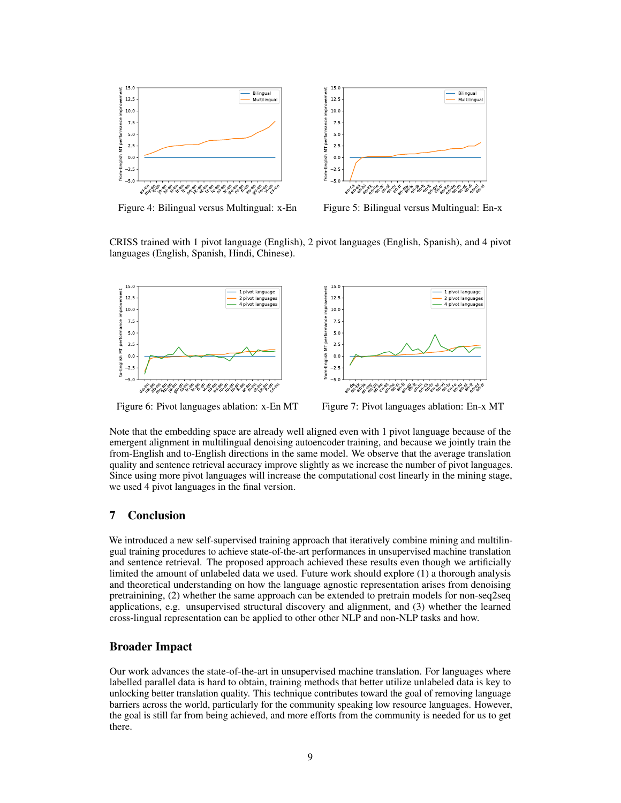<span id="page-8-1"></span>

Figure 4: Bilingual versus Multingual: x-En

Figure 5: Bilingual versus Multingual: En-x

CRISS trained with 1 pivot language (English), 2 pivot languages (English, Spanish), and 4 pivot languages (English, Spanish, Hindi, Chinese).

<span id="page-8-2"></span>

Figure 6: Pivot languages ablation: x-En MT

Figure 7: Pivot languages ablation: En-x MT

Note that the embedding space are already well aligned even with 1 pivot language because of the emergent alignment in multilingual denoising autoencoder training, and because we jointly train the from-English and to-English directions in the same model. We observe that the average translation quality and sentence retrieval accuracy improve slightly as we increase the number of pivot languages. Since using more pivot languages will increase the computational cost linearly in the mining stage, we used 4 pivot languages in the final version.

## <span id="page-8-0"></span>7 Conclusion

We introduced a new self-supervised training approach that iteratively combine mining and multilingual training procedures to achieve state-of-the-art performances in unsupervised machine translation and sentence retrieval. The proposed approach achieved these results even though we artificially limited the amount of unlabeled data we used. Future work should explore (1) a thorough analysis and theoretical understanding on how the language agnostic representation arises from denoising pretrainining, (2) whether the same approach can be extended to pretrain models for non-seq2seq applications, e.g. unsupervised structural discovery and alignment, and (3) whether the learned cross-lingual representation can be applied to other other NLP and non-NLP tasks and how.

## Broader Impact

Our work advances the state-of-the-art in unsupervised machine translation. For languages where labelled parallel data is hard to obtain, training methods that better utilize unlabeled data is key to unlocking better translation quality. This technique contributes toward the goal of removing language barriers across the world, particularly for the community speaking low resource languages. However, the goal is still far from being achieved, and more efforts from the community is needed for us to get there.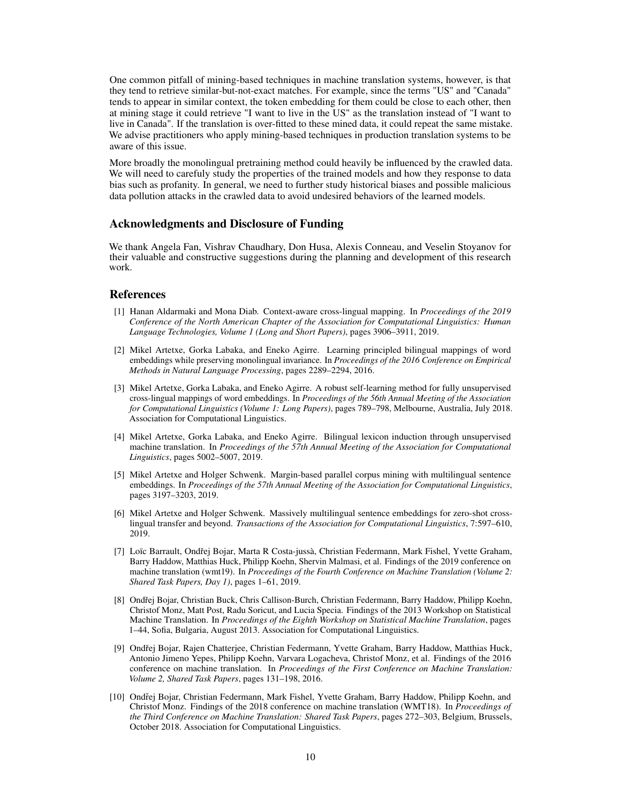One common pitfall of mining-based techniques in machine translation systems, however, is that they tend to retrieve similar-but-not-exact matches. For example, since the terms "US" and "Canada" tends to appear in similar context, the token embedding for them could be close to each other, then at mining stage it could retrieve "I want to live in the US" as the translation instead of "I want to live in Canada". If the translation is over-fitted to these mined data, it could repeat the same mistake. We advise practitioners who apply mining-based techniques in production translation systems to be aware of this issue.

More broadly the monolingual pretraining method could heavily be influenced by the crawled data. We will need to carefuly study the properties of the trained models and how they response to data bias such as profanity. In general, we need to further study historical biases and possible malicious data pollution attacks in the crawled data to avoid undesired behaviors of the learned models.

#### Acknowledgments and Disclosure of Funding

We thank Angela Fan, Vishrav Chaudhary, Don Husa, Alexis Conneau, and Veselin Stoyanov for their valuable and constructive suggestions during the planning and development of this research work.

#### References

- <span id="page-9-0"></span>[1] Hanan Aldarmaki and Mona Diab. Context-aware cross-lingual mapping. In *Proceedings of the 2019 Conference of the North American Chapter of the Association for Computational Linguistics: Human Language Technologies, Volume 1 (Long and Short Papers)*, pages 3906–3911, 2019.
- <span id="page-9-1"></span>[2] Mikel Artetxe, Gorka Labaka, and Eneko Agirre. Learning principled bilingual mappings of word embeddings while preserving monolingual invariance. In *Proceedings of the 2016 Conference on Empirical Methods in Natural Language Processing*, pages 2289–2294, 2016.
- <span id="page-9-2"></span>[3] Mikel Artetxe, Gorka Labaka, and Eneko Agirre. A robust self-learning method for fully unsupervised cross-lingual mappings of word embeddings. In *Proceedings of the 56th Annual Meeting of the Association for Computational Linguistics (Volume 1: Long Papers)*, pages 789–798, Melbourne, Australia, July 2018. Association for Computational Linguistics.
- <span id="page-9-3"></span>[4] Mikel Artetxe, Gorka Labaka, and Eneko Agirre. Bilingual lexicon induction through unsupervised machine translation. In *Proceedings of the 57th Annual Meeting of the Association for Computational Linguistics*, pages 5002–5007, 2019.
- <span id="page-9-5"></span>[5] Mikel Artetxe and Holger Schwenk. Margin-based parallel corpus mining with multilingual sentence embeddings. In *Proceedings of the 57th Annual Meeting of the Association for Computational Linguistics*, pages 3197–3203, 2019.
- <span id="page-9-4"></span>[6] Mikel Artetxe and Holger Schwenk. Massively multilingual sentence embeddings for zero-shot crosslingual transfer and beyond. *Transactions of the Association for Computational Linguistics*, 7:597–610, 2019.
- <span id="page-9-8"></span>[7] Loïc Barrault, Ondřej Bojar, Marta R Costa-jussà, Christian Federmann, Mark Fishel, Yvette Graham, Barry Haddow, Matthias Huck, Philipp Koehn, Shervin Malmasi, et al. Findings of the 2019 conference on machine translation (wmt19). In *Proceedings of the Fourth Conference on Machine Translation (Volume 2: Shared Task Papers, Day 1)*, pages 1–61, 2019.
- <span id="page-9-6"></span>[8] Ondřej Bojar, Christian Buck, Chris Callison-Burch, Christian Federmann, Barry Haddow, Philipp Koehn, Christof Monz, Matt Post, Radu Soricut, and Lucia Specia. Findings of the 2013 Workshop on Statistical Machine Translation. In *Proceedings of the Eighth Workshop on Statistical Machine Translation*, pages 1–44, Sofia, Bulgaria, August 2013. Association for Computational Linguistics.
- <span id="page-9-9"></span>[9] Ondřej Bojar, Rajen Chatterjee, Christian Federmann, Yvette Graham, Barry Haddow, Matthias Huck, Antonio Jimeno Yepes, Philipp Koehn, Varvara Logacheva, Christof Monz, et al. Findings of the 2016 conference on machine translation. In *Proceedings of the First Conference on Machine Translation: Volume 2, Shared Task Papers*, pages 131–198, 2016.
- <span id="page-9-7"></span>[10] Ondřej Bojar, Christian Federmann, Mark Fishel, Yvette Graham, Barry Haddow, Philipp Koehn, and Christof Monz. Findings of the 2018 conference on machine translation (WMT18). In *Proceedings of the Third Conference on Machine Translation: Shared Task Papers*, pages 272–303, Belgium, Brussels, October 2018. Association for Computational Linguistics.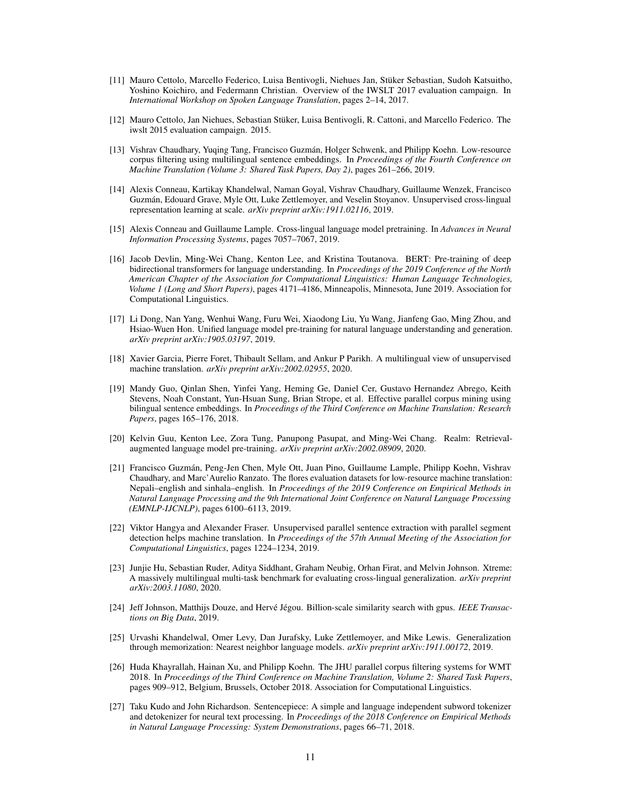- <span id="page-10-10"></span>[11] Mauro Cettolo, Marcello Federico, Luisa Bentivogli, Niehues Jan, Stüker Sebastian, Sudoh Katsuitho, Yoshino Koichiro, and Federmann Christian. Overview of the IWSLT 2017 evaluation campaign. In *International Workshop on Spoken Language Translation*, pages 2–14, 2017.
- <span id="page-10-16"></span>[12] Mauro Cettolo, Jan Niehues, Sebastian Stüker, Luisa Bentivogli, R. Cattoni, and Marcello Federico. The iwslt 2015 evaluation campaign. 2015.
- <span id="page-10-4"></span>[13] Vishrav Chaudhary, Yuqing Tang, Francisco Guzmán, Holger Schwenk, and Philipp Koehn. Low-resource corpus filtering using multilingual sentence embeddings. In *Proceedings of the Fourth Conference on Machine Translation (Volume 3: Shared Task Papers, Day 2)*, pages 261–266, 2019.
- <span id="page-10-1"></span>[14] Alexis Conneau, Kartikay Khandelwal, Naman Goyal, Vishrav Chaudhary, Guillaume Wenzek, Francisco Guzmán, Edouard Grave, Myle Ott, Luke Zettlemoyer, and Veselin Stoyanov. Unsupervised cross-lingual representation learning at scale. *arXiv preprint arXiv:1911.02116*, 2019.
- <span id="page-10-13"></span>[15] Alexis Conneau and Guillaume Lample. Cross-lingual language model pretraining. In *Advances in Neural Information Processing Systems*, pages 7057–7067, 2019.
- <span id="page-10-0"></span>[16] Jacob Devlin, Ming-Wei Chang, Kenton Lee, and Kristina Toutanova. BERT: Pre-training of deep bidirectional transformers for language understanding. In *Proceedings of the 2019 Conference of the North American Chapter of the Association for Computational Linguistics: Human Language Technologies, Volume 1 (Long and Short Papers)*, pages 4171–4186, Minneapolis, Minnesota, June 2019. Association for Computational Linguistics.
- <span id="page-10-7"></span>[17] Li Dong, Nan Yang, Wenhui Wang, Furu Wei, Xiaodong Liu, Yu Wang, Jianfeng Gao, Ming Zhou, and Hsiao-Wuen Hon. Unified language model pre-training for natural language understanding and generation. *arXiv preprint arXiv:1905.03197*, 2019.
- <span id="page-10-9"></span>[18] Xavier Garcia, Pierre Foret, Thibault Sellam, and Ankur P Parikh. A multilingual view of unsupervised machine translation. *arXiv preprint arXiv:2002.02955*, 2020.
- <span id="page-10-5"></span>[19] Mandy Guo, Qinlan Shen, Yinfei Yang, Heming Ge, Daniel Cer, Gustavo Hernandez Abrego, Keith Stevens, Noah Constant, Yun-Hsuan Sung, Brian Strope, et al. Effective parallel corpus mining using bilingual sentence embeddings. In *Proceedings of the Third Conference on Machine Translation: Research Papers*, pages 165–176, 2018.
- <span id="page-10-3"></span>[20] Kelvin Guu, Kenton Lee, Zora Tung, Panupong Pasupat, and Ming-Wei Chang. Realm: Retrievalaugmented language model pre-training. *arXiv preprint arXiv:2002.08909*, 2020.
- <span id="page-10-12"></span>[21] Francisco Guzmán, Peng-Jen Chen, Myle Ott, Juan Pino, Guillaume Lample, Philipp Koehn, Vishrav Chaudhary, and Marc'Aurelio Ranzato. The flores evaluation datasets for low-resource machine translation: Nepali–english and sinhala–english. In *Proceedings of the 2019 Conference on Empirical Methods in Natural Language Processing and the 9th International Joint Conference on Natural Language Processing (EMNLP-IJCNLP)*, pages 6100–6113, 2019.
- <span id="page-10-6"></span>[22] Viktor Hangya and Alexander Fraser. Unsupervised parallel sentence extraction with parallel segment detection helps machine translation. In *Proceedings of the 57th Annual Meeting of the Association for Computational Linguistics*, pages 1224–1234, 2019.
- <span id="page-10-14"></span>[23] Junjie Hu, Sebastian Ruder, Aditya Siddhant, Graham Neubig, Orhan Firat, and Melvin Johnson. Xtreme: A massively multilingual multi-task benchmark for evaluating cross-lingual generalization. *arXiv preprint arXiv:2003.11080*, 2020.
- <span id="page-10-11"></span>[24] Jeff Johnson, Matthijs Douze, and Hervé Jégou. Billion-scale similarity search with gpus. *IEEE Transactions on Big Data*, 2019.
- <span id="page-10-2"></span>[25] Urvashi Khandelwal, Omer Levy, Dan Jurafsky, Luke Zettlemoyer, and Mike Lewis. Generalization through memorization: Nearest neighbor language models. *arXiv preprint arXiv:1911.00172*, 2019.
- <span id="page-10-8"></span>[26] Huda Khayrallah, Hainan Xu, and Philipp Koehn. The JHU parallel corpus filtering systems for WMT 2018. In *Proceedings of the Third Conference on Machine Translation, Volume 2: Shared Task Papers*, pages 909–912, Belgium, Brussels, October 2018. Association for Computational Linguistics.
- <span id="page-10-15"></span>[27] Taku Kudo and John Richardson. Sentencepiece: A simple and language independent subword tokenizer and detokenizer for neural text processing. In *Proceedings of the 2018 Conference on Empirical Methods in Natural Language Processing: System Demonstrations*, pages 66–71, 2018.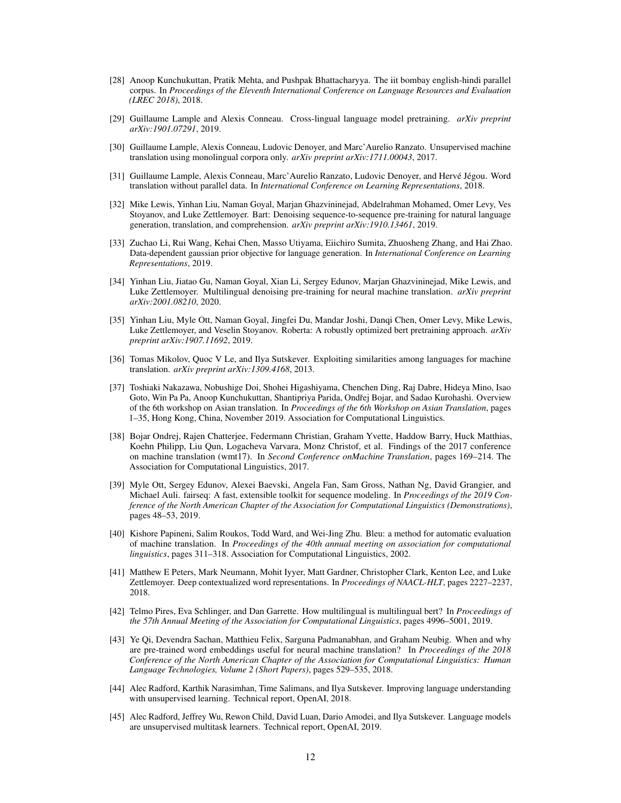- <span id="page-11-16"></span>[28] Anoop Kunchukuttan, Pratik Mehta, and Pushpak Bhattacharyya. The iit bombay english-hindi parallel corpus. In *Proceedings of the Eleventh International Conference on Language Resources and Evaluation (LREC 2018)*, 2018.
- <span id="page-11-9"></span>[29] Guillaume Lample and Alexis Conneau. Cross-lingual language model pretraining. *arXiv preprint arXiv:1901.07291*, 2019.
- <span id="page-11-10"></span>[30] Guillaume Lample, Alexis Conneau, Ludovic Denoyer, and Marc'Aurelio Ranzato. Unsupervised machine translation using monolingual corpora only. *arXiv preprint arXiv:1711.00043*, 2017.
- <span id="page-11-6"></span>[31] Guillaume Lample, Alexis Conneau, Marc'Aurelio Ranzato, Ludovic Denoyer, and Hervé Jégou. Word translation without parallel data. In *International Conference on Learning Representations*, 2018.
- <span id="page-11-0"></span>[32] Mike Lewis, Yinhan Liu, Naman Goyal, Marjan Ghazvininejad, Abdelrahman Mohamed, Omer Levy, Ves Stoyanov, and Luke Zettlemoyer. Bart: Denoising sequence-to-sequence pre-training for natural language generation, translation, and comprehension. *arXiv preprint arXiv:1910.13461*, 2019.
- <span id="page-11-11"></span>[33] Zuchao Li, Rui Wang, Kehai Chen, Masso Utiyama, Eiichiro Sumita, Zhuosheng Zhang, and Hai Zhao. Data-dependent gaussian prior objective for language generation. In *International Conference on Learning Representations*, 2019.
- <span id="page-11-4"></span>[34] Yinhan Liu, Jiatao Gu, Naman Goyal, Xian Li, Sergey Edunov, Marjan Ghazvininejad, Mike Lewis, and Luke Zettlemoyer. Multilingual denoising pre-training for neural machine translation. *arXiv preprint arXiv:2001.08210*, 2020.
- <span id="page-11-1"></span>[35] Yinhan Liu, Myle Ott, Naman Goyal, Jingfei Du, Mandar Joshi, Danqi Chen, Omer Levy, Mike Lewis, Luke Zettlemoyer, and Veselin Stoyanov. Roberta: A robustly optimized bert pretraining approach. *arXiv preprint arXiv:1907.11692*, 2019.
- <span id="page-11-7"></span>[36] Tomas Mikolov, Quoc V Le, and Ilya Sutskever. Exploiting similarities among languages for machine translation. *arXiv preprint arXiv:1309.4168*, 2013.
- <span id="page-11-17"></span>[37] Toshiaki Nakazawa, Nobushige Doi, Shohei Higashiyama, Chenchen Ding, Raj Dabre, Hideya Mino, Isao Goto, Win Pa Pa, Anoop Kunchukuttan, Shantipriya Parida, Ondřej Bojar, and Sadao Kurohashi. Overview of the 6th workshop on Asian translation. In *Proceedings of the 6th Workshop on Asian Translation*, pages 1–35, Hong Kong, China, November 2019. Association for Computational Linguistics.
- <span id="page-11-15"></span>[38] Bojar Ondrej, Rajen Chatterjee, Federmann Christian, Graham Yvette, Haddow Barry, Huck Matthias, Koehn Philipp, Liu Qun, Logacheva Varvara, Monz Christof, et al. Findings of the 2017 conference on machine translation (wmt17). In *Second Conference onMachine Translation*, pages 169–214. The Association for Computational Linguistics, 2017.
- <span id="page-11-12"></span>[39] Myle Ott, Sergey Edunov, Alexei Baevski, Angela Fan, Sam Gross, Nathan Ng, David Grangier, and Michael Auli. fairseq: A fast, extensible toolkit for sequence modeling. In *Proceedings of the 2019 Conference of the North American Chapter of the Association for Computational Linguistics (Demonstrations)*, pages 48–53, 2019.
- <span id="page-11-14"></span>[40] Kishore Papineni, Salim Roukos, Todd Ward, and Wei-Jing Zhu. Bleu: a method for automatic evaluation of machine translation. In *Proceedings of the 40th annual meeting on association for computational linguistics*, pages 311–318. Association for Computational Linguistics, 2002.
- <span id="page-11-2"></span>[41] Matthew E Peters, Mark Neumann, Mohit Iyyer, Matt Gardner, Christopher Clark, Kenton Lee, and Luke Zettlemoyer. Deep contextualized word representations. In *Proceedings of NAACL-HLT*, pages 2227–2237, 2018.
- <span id="page-11-5"></span>[42] Telmo Pires, Eva Schlinger, and Dan Garrette. How multilingual is multilingual bert? In *Proceedings of the 57th Annual Meeting of the Association for Computational Linguistics*, pages 4996–5001, 2019.
- <span id="page-11-13"></span>[43] Ye Qi, Devendra Sachan, Matthieu Felix, Sarguna Padmanabhan, and Graham Neubig. When and why are pre-trained word embeddings useful for neural machine translation? In *Proceedings of the 2018 Conference of the North American Chapter of the Association for Computational Linguistics: Human Language Technologies, Volume 2 (Short Papers)*, pages 529–535, 2018.
- <span id="page-11-3"></span>[44] Alec Radford, Karthik Narasimhan, Time Salimans, and Ilya Sutskever. Improving language understanding with unsupervised learning. Technical report, OpenAI, 2018.
- <span id="page-11-8"></span>[45] Alec Radford, Jeffrey Wu, Rewon Child, David Luan, Dario Amodei, and Ilya Sutskever. Language models are unsupervised multitask learners. Technical report, OpenAI, 2019.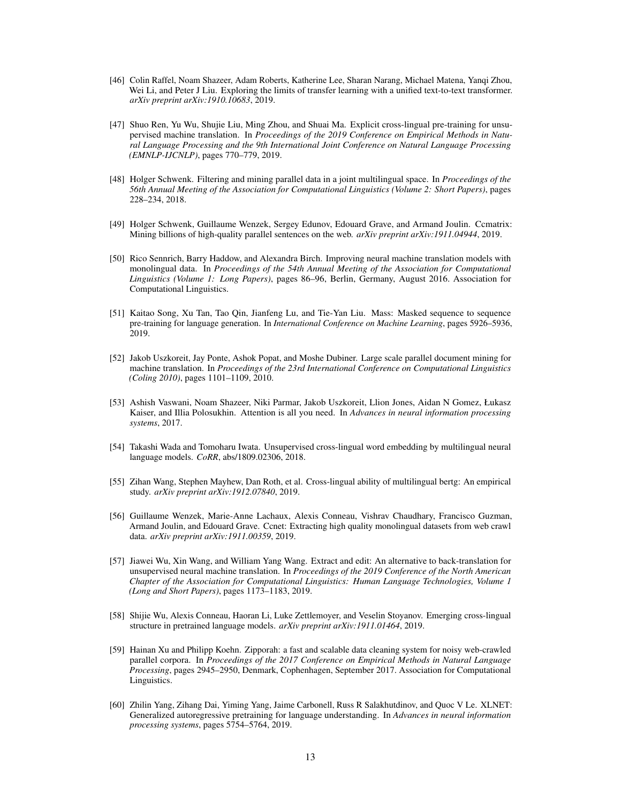- <span id="page-12-7"></span>[46] Colin Raffel, Noam Shazeer, Adam Roberts, Katherine Lee, Sharan Narang, Michael Matena, Yanqi Zhou, Wei Li, and Peter J Liu. Exploring the limits of transfer learning with a unified text-to-text transformer. *arXiv preprint arXiv:1910.10683*, 2019.
- <span id="page-12-11"></span>[47] Shuo Ren, Yu Wu, Shujie Liu, Ming Zhou, and Shuai Ma. Explicit cross-lingual pre-training for unsupervised machine translation. In *Proceedings of the 2019 Conference on Empirical Methods in Natural Language Processing and the 9th International Joint Conference on Natural Language Processing (EMNLP-IJCNLP)*, pages 770–779, 2019.
- <span id="page-12-4"></span>[48] Holger Schwenk. Filtering and mining parallel data in a joint multilingual space. In *Proceedings of the 56th Annual Meeting of the Association for Computational Linguistics (Volume 2: Short Papers)*, pages 228–234, 2018.
- <span id="page-12-5"></span>[49] Holger Schwenk, Guillaume Wenzek, Sergey Edunov, Edouard Grave, and Armand Joulin. Ccmatrix: Mining billions of high-quality parallel sentences on the web. *arXiv preprint arXiv:1911.04944*, 2019.
- <span id="page-12-9"></span>[50] Rico Sennrich, Barry Haddow, and Alexandra Birch. Improving neural machine translation models with monolingual data. In *Proceedings of the 54th Annual Meeting of the Association for Computational Linguistics (Volume 1: Long Papers)*, pages 86–96, Berlin, Germany, August 2016. Association for Computational Linguistics.
- <span id="page-12-1"></span>[51] Kaitao Song, Xu Tan, Tao Qin, Jianfeng Lu, and Tie-Yan Liu. Mass: Masked sequence to sequence pre-training for language generation. In *International Conference on Machine Learning*, pages 5926–5936, 2019.
- <span id="page-12-6"></span>[52] Jakob Uszkoreit, Jay Ponte, Ashok Popat, and Moshe Dubiner. Large scale parallel document mining for machine translation. In *Proceedings of the 23rd International Conference on Computational Linguistics (Coling 2010)*, pages 1101–1109, 2010.
- <span id="page-12-13"></span>[53] Ashish Vaswani, Noam Shazeer, Niki Parmar, Jakob Uszkoreit, Llion Jones, Aidan N Gomez, Łukasz Kaiser, and Illia Polosukhin. Attention is all you need. In *Advances in neural information processing systems*, 2017.
- <span id="page-12-8"></span>[54] Takashi Wada and Tomoharu Iwata. Unsupervised cross-lingual word embedding by multilingual neural language models. *CoRR*, abs/1809.02306, 2018.
- <span id="page-12-3"></span>[55] Zihan Wang, Stephen Mayhew, Dan Roth, et al. Cross-lingual ability of multilingual bertg: An empirical study. *arXiv preprint arXiv:1912.07840*, 2019.
- <span id="page-12-14"></span>[56] Guillaume Wenzek, Marie-Anne Lachaux, Alexis Conneau, Vishrav Chaudhary, Francisco Guzman, Armand Joulin, and Edouard Grave. Ccnet: Extracting high quality monolingual datasets from web crawl data. *arXiv preprint arXiv:1911.00359*, 2019.
- <span id="page-12-12"></span>[57] Jiawei Wu, Xin Wang, and William Yang Wang. Extract and edit: An alternative to back-translation for unsupervised neural machine translation. In *Proceedings of the 2019 Conference of the North American Chapter of the Association for Computational Linguistics: Human Language Technologies, Volume 1 (Long and Short Papers)*, pages 1173–1183, 2019.
- <span id="page-12-2"></span>[58] Shijie Wu, Alexis Conneau, Haoran Li, Luke Zettlemoyer, and Veselin Stoyanov. Emerging cross-lingual structure in pretrained language models. *arXiv preprint arXiv:1911.01464*, 2019.
- <span id="page-12-10"></span>[59] Hainan Xu and Philipp Koehn. Zipporah: a fast and scalable data cleaning system for noisy web-crawled parallel corpora. In *Proceedings of the 2017 Conference on Empirical Methods in Natural Language Processing*, pages 2945–2950, Denmark, Cophenhagen, September 2017. Association for Computational Linguistics.
- <span id="page-12-0"></span>[60] Zhilin Yang, Zihang Dai, Yiming Yang, Jaime Carbonell, Russ R Salakhutdinov, and Quoc V Le. XLNET: Generalized autoregressive pretraining for language understanding. In *Advances in neural information processing systems*, pages 5754–5764, 2019.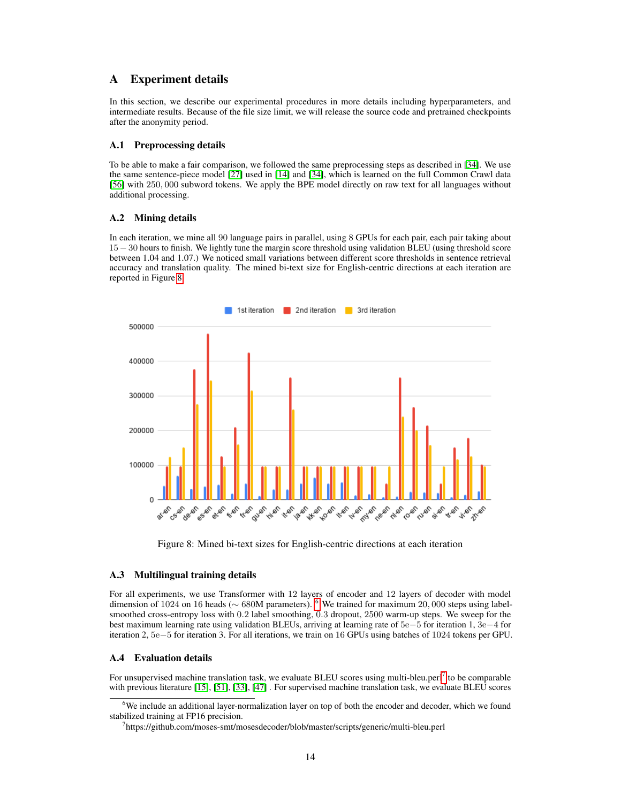## A Experiment details

In this section, we describe our experimental procedures in more details including hyperparameters, and intermediate results. Because of the file size limit, we will release the source code and pretrained checkpoints after the anonymity period.

#### A.1 Preprocessing details

To be able to make a fair comparison, we followed the same preprocessing steps as described in [\[34\]](#page-11-4). We use the same sentence-piece model [\[27\]](#page-10-15) used in [\[14\]](#page-10-1) and [\[34\]](#page-11-4), which is learned on the full Common Crawl data [\[56\]](#page-12-14) with 250, 000 subword tokens. We apply the BPE model directly on raw text for all languages without additional processing.

#### A.2 Mining details

In each iteration, we mine all 90 language pairs in parallel, using 8 GPUs for each pair, each pair taking about 15−30 hours to finish. We lightly tune the margin score threshold using validation BLEU (using threshold score between 1.04 and 1.07.) We noticed small variations between different score thresholds in sentence retrieval accuracy and translation quality. The mined bi-text size for English-centric directions at each iteration are reported in Figure [8](#page-13-0)

<span id="page-13-0"></span>

Figure 8: Mined bi-text sizes for English-centric directions at each iteration

#### A.3 Multilingual training details

For all experiments, we use Transformer with 12 layers of encoder and 12 layers of decoder with model dimension of 1024 on 16 heads (∼ 680M parameters). [6](#page-13-1) We trained for maximum 20, 000 steps using labelsmoothed cross-entropy loss with 0.2 label smoothing, 0.3 dropout, 2500 warm-up steps. We sweep for the best maximum learning rate using validation BLEUs, arriving at learning rate of 5e−5 for iteration 1, 3e−4 for iteration 2, 5e−5 for iteration 3. For all iterations, we train on 16 GPUs using batches of 1024 tokens per GPU.

## A.4 Evaluation details

For unsupervised machine translation task, we evaluate BLEU scores using multi-bleu.perl<sup>[7](#page-13-2)</sup> to be comparable with previous literature [\[15\]](#page-10-13), [\[51\]](#page-12-1), [\[33\]](#page-11-11), [\[47\]](#page-12-11) . For supervised machine translation task, we evaluate BLEU scores

<span id="page-13-1"></span><sup>&</sup>lt;sup>6</sup>We include an additional layer-normalization layer on top of both the encoder and decoder, which we found stabilized training at FP16 precision.

<span id="page-13-2"></span><sup>7</sup> https://github.com/moses-smt/mosesdecoder/blob/master/scripts/generic/multi-bleu.perl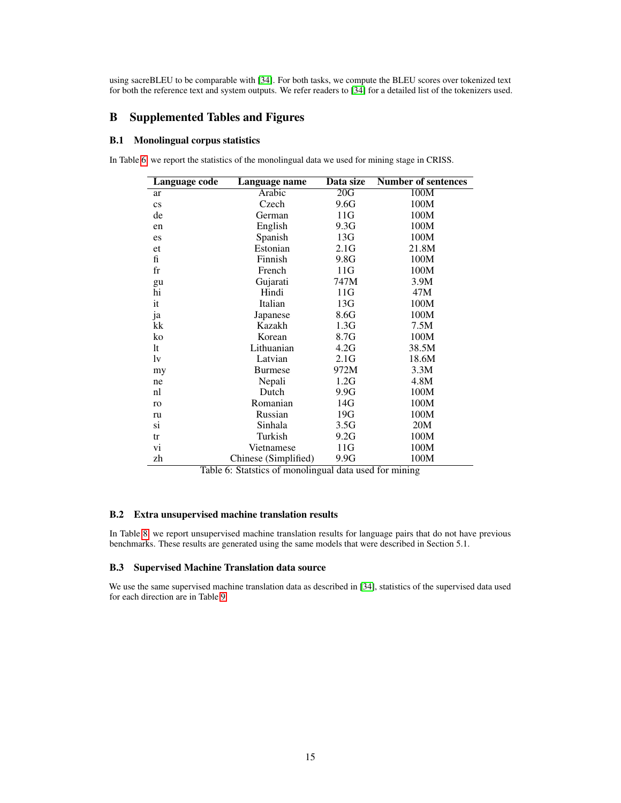using sacreBLEU to be comparable with [\[34\]](#page-11-4). For both tasks, we compute the BLEU scores over tokenized text for both the reference text and system outputs. We refer readers to [\[34\]](#page-11-4) for a detailed list of the tokenizers used.

## B Supplemented Tables and Figures

#### B.1 Monolingual corpus statistics

<span id="page-14-0"></span>In Table [6,](#page-14-0) we report the statistics of the monolingual data we used for mining stage in CRISS.

| Language code          | Language name        | Data size        | <b>Number of sentences</b> |
|------------------------|----------------------|------------------|----------------------------|
| ar                     | Arabic               | $\overline{20G}$ | $\overline{100M}$          |
| $\mathbf{c}\mathbf{s}$ | Czech                | 9.6G             | 100M                       |
| de                     | German               | 11G              | 100M                       |
| en                     | English              | 9.3G             | 100M                       |
| es                     | Spanish              | 13G              | 100M                       |
| et                     | Estonian             | 2.1G             | 21.8M                      |
| fi                     | Finnish              | 9.8G             | 100M                       |
| fr                     | French               | 11G              | 100M                       |
| gu                     | Gujarati             | 747M             | 3.9M                       |
| hi                     | Hindi                | 11G              | 47M                        |
| it                     | Italian              | 13G              | 100M                       |
| ja                     | Japanese             | 8.6G             | 100M                       |
| kk                     | Kazakh               | 1.3G             | 7.5M                       |
| ko                     | Korean               | 8.7G             | 100M                       |
| lt                     | Lithuanian           | 4.2G             | 38.5M                      |
| lv                     | Latvian              | 2.1G             | 18.6M                      |
| my                     | <b>Burmese</b>       | 972M             | 3.3M                       |
| ne                     | Nepali               | 1.2G             | 4.8M                       |
| nl                     | Dutch                | 9.9G             | 100M                       |
| ro                     | Romanian             | 14G              | 100M                       |
| ru                     | Russian              | 19G              | 100M                       |
| si                     | Sinhala              | 3.5G             | 20M                        |
| tr                     | Turkish              | 9.2G             | 100M                       |
| vi                     | Vietnamese           | 11G              | 100M                       |
| zh                     | Chinese (Simplified) | 9.9G             | 100M                       |

Table 6: Statstics of monolingual data used for mining

#### B.2 Extra unsupervised machine translation results

In Table [8,](#page-15-0) we report unsupervised machine translation results for language pairs that do not have previous benchmarks. These results are generated using the same models that were described in Section 5.1.

#### B.3 Supervised Machine Translation data source

We use the same supervised machine translation data as described in [\[34\]](#page-11-4), statistics of the supervised data used for each direction are in Table [9](#page-16-0)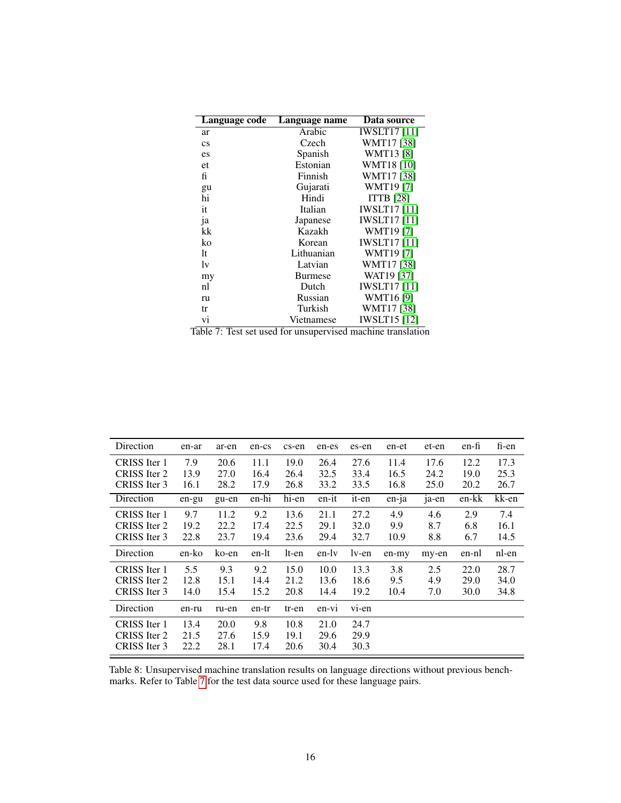<span id="page-15-1"></span>

| Language code                                       | Language name                                | Data source                   |
|-----------------------------------------------------|----------------------------------------------|-------------------------------|
| ar                                                  | Arabic                                       | <b>IWSLT17</b> [11]           |
| $\mathbf{c}\mathbf{s}$                              | Czech                                        | WMT17 [38]                    |
| es                                                  | Spanish                                      | <b>WMT13</b> [8]              |
| et                                                  | Estonian                                     | <b>WMT18</b> [10]             |
| fi                                                  | Finnish                                      | WMT17 [38]                    |
| gu                                                  | Gujarati                                     | WMT19[7]                      |
| hi                                                  | Hindi                                        | <b>ITTB</b> [28]              |
| it                                                  | Italian                                      | <b>IWSLT17</b> [11]           |
| ja                                                  | Japanese                                     | <b>IWSLT17</b> [11]           |
| kk                                                  | Kazakh                                       | <b>WMT19</b> [7]              |
| ko                                                  | Korean                                       | <b>IWSLT17</b> [11]           |
| lt                                                  | Lithuanian                                   | <b>WMT19</b> [7]              |
| lv                                                  | Latvian                                      | WMT17 [38]                    |
| my                                                  | Burmese                                      | WAT19 [37]                    |
| nl                                                  | Dutch                                        | <b>IWSLT17</b> [11]           |
| ru                                                  | Russian                                      | <b>WMT16 [9]</b>              |
| tr                                                  | Turkish                                      | WMT17 [38]                    |
| vi<br>1.1.1<br>$\overline{ }$<br>m.<br>$-4 - - - 4$ | Vietnamese<br>1 <sub>c</sub><br>$\mathbf{I}$ | <b>IWSLT15</b> [12]<br>. 1. 1 |

Table 7: Test set used for unsupervised machine translation

<span id="page-15-0"></span>

| Direction    | en-ar | ar-en | en-cs | cs-en | en-es   | es-en | en-et    | et-en | en-fi | fi-en |
|--------------|-------|-------|-------|-------|---------|-------|----------|-------|-------|-------|
| CRISS Iter 1 | 7.9   | 20.6  | 11.1  | 19.0  | 26.4    | 27.6  | 11.4     | 17.6  | 12.2  | 17.3  |
| CRISS Iter 2 | 13.9  | 27.0  | 16.4  | 26.4  | 32.5    | 33.4  | 16.5     | 24.2  | 19.0  | 25.3  |
| CRISS Iter 3 | 16.1  | 28.2  | 17.9  | 26.8  | 33.2    | 33.5  | 16.8     | 25.0  | 20.2  | 26.7  |
| Direction    | en-gu | gu-en | en-hi | hi-en | en-it   | it-en | $en$ -ja | ja-en | en-kk | kk-en |
| CRISS Iter 1 | 9.7   | 11.2  | 9.2   | 13.6  | 21.1    | 27.2  | 4.9      | 4.6   | 2.9   | 7.4   |
| CRISS Iter 2 | 19.2  | 22.2  | 17.4  | 22.5  | 29.1    | 32.0  | 9.9      | 8.7   | 6.8   | 16.1  |
| CRISS Iter 3 | 22.8  | 23.7  | 19.4  | 23.6  | 29.4    | 32.7  | 10.9     | 8.8   | 6.7   | 14.5  |
| Direction    | en-ko | ko-en | en-lt | lt-en | en-ly   | lv-en | en-my    | my-en | en-nl | nl-en |
| CRISS Iter 1 | 5.5   | 9.3   | 9.2   | 15.0  | 10.0    | 13.3  | 3.8      | 2.5   | 22.0  | 28.7  |
| CRISS Iter 2 | 12.8  | 15.1  | 14.4  | 21.2  | 13.6    | 18.6  | 9.5      | 4.9   | 29.0  | 34.0  |
| CRISS Iter 3 | 14.0  | 15.4  | 15.2  | 20.8  | 14.4    | 19.2  | 10.4     | 7.0   | 30.0  | 34.8  |
| Direction    | en-ru | ru-en | en-tr | tr-en | $en-vi$ | vi-en |          |       |       |       |
| CRISS Iter 1 | 13.4  | 20.0  | 9.8   | 10.8  | 21.0    | 24.7  |          |       |       |       |
| CRISS Iter 2 | 21.5  | 27.6  | 15.9  | 19.1  | 29.6    | 29.9  |          |       |       |       |
| CRISS Iter 3 | 22.2  | 28.1  | 17.4  | 20.6  | 30.4    | 30.3  |          |       |       |       |

Table 8: Unsupervised machine translation results on language directions without previous benchmarks. Refer to Table [7](#page-15-1) for the test data source used for these language pairs.